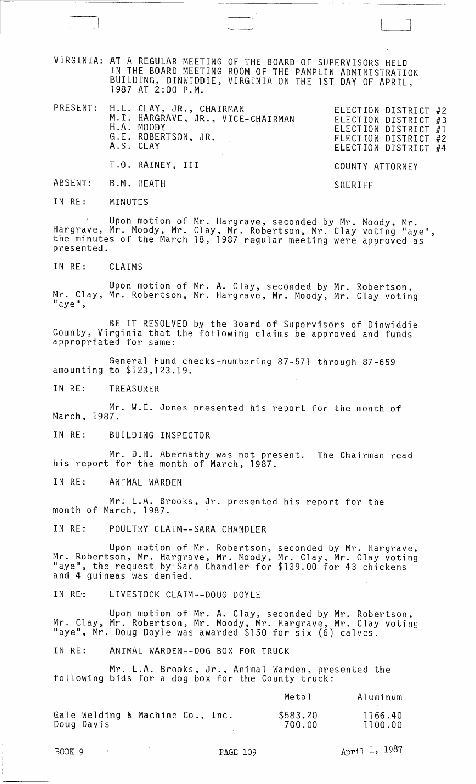VIRGINIA: AT A REGULAR MEETING OF THE BOARD OF SUPERVISORS HELD IN THE BOARD MEETING ROOM OF THE PAMPLIN ADMINISTRATION BUILDING, DINWIDDIE, VIRGINIA ON THE 1ST DAY OF APRIL, 1987 AT 2:00 P.M.

PRESENT: H.L. CLAY, JR., CHAIRMAN M.I. HARGRAVE, JR., VICE-CHAIRMAN H.A. MOODY G.E. ROBERTSON, JR. A.S. CLAY T.O. RAINEY, III ELECTION DISTRICT #2 ELECTION DISTRICT #3 ELECTION DISTRICT #1 ELECTION DISTRICT #2 ELECTION DISTRICT #4 COUNTY ATTORNEY

ABSENT: B.M. HEATH

IN RE: MINUTES

Upon motion of Mr. Hargrave, seconded by Mr. Moody, Mr. Hargrave, Mr. Moody, Mr. Clay, Mr. Robertson, Mr. Clay voting "aye",<br>the minutes of the March 18, 1987 regular meeting were approved as presented.

SHERIFF

IN RE: CLAIMS

Upon motion of Mr. A. Clay, seconded by Mr. Robertson, Mr. Clay, Mr. Robertson, Mr. Hargrave, Mr. Moody, Mr. Clay *voting* "aye",

BE IT RESOLVED by the Board of Supervisors of Dinwiddie County, Virginia that the following claims be approved and funds appropriated for same:

General Fund checks-numbering 87-571 through 87-659 amounting to \$123,123.19.

IN RE: TREASURER

Mr. W.E. Jones presented his report for the month of March, 1987.

IN RE: BUILDING INSPECTOR

Mr. D.H. Abernathy was not present. The Chairman read his report for the month of March, 1987.

IN RE: ANIMAL WARDEN

Mr; L.A. Brooks, Jr. presented his report for the month of March, 1987.

IN RE: POULTRY CLAIM--SARA CHANDLER

Upon motion of Mr. Robertson, seconded by Mr. Hargrave, Mr. Robertson, Mr. Hargrave, Mr. Moody, Mr. Clay, Mr. Clay *voting*  "aye", the request·by·Sara Chandler for \$139.00 for 43 chickens and 4 guineas was denied.

IN RE: LIVESTOCK CLAIM--DOUG DOYLE

Upon motion of Mr. A. Clay, seconded by Mr. Robertson, Mr. Clay, Mr. Robertson, Mr. Moody, Mr. Hargrave, Mr. Clay *voting*  "aye", Mr. Doug Doyle was awarded \$150 for six (6) calves.

IN RE: ANIMAL WARDEN--DOG BOX FOR TRUCK

Mr. L.A. Brooks, Jr., Animal Warden, presented the following bids for a dog box for the County truck:

|            |                                  |  | Metal              | Aluminum           |
|------------|----------------------------------|--|--------------------|--------------------|
| Doug Davis | Gale Welding & Machine Co., Inc. |  | \$583.20<br>700.00 | 1166.40<br>1100.00 |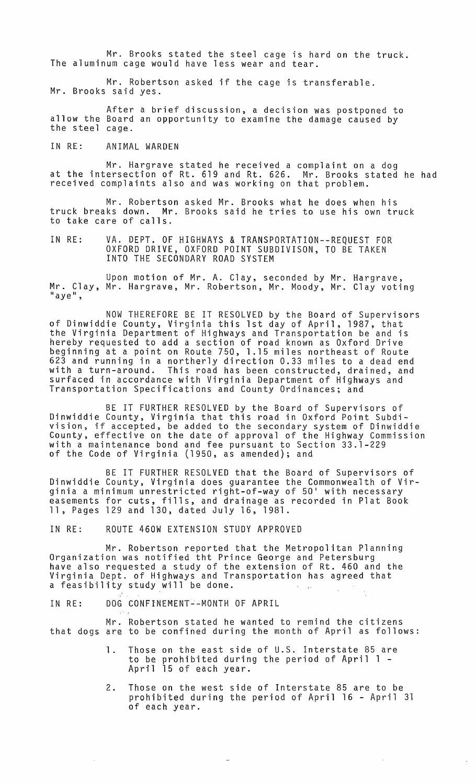Mr. Brooks stated the steel cage is hard on the truck. The aluminum cage would have less wear and tear.

Mr. Robertson asked if the cage is transferable. Mr. Brooks said yes.

After a brief discussion, a decision was postponed to allow the Board an opportunity to examine the damage caused by<br>the steel cage.

IN RE: ANIMAL WARDEN

Mr. Hargrave stated he received a complaint on a dog at the intersection of Rt. 619 and Rt. 626. Mr. Brooks stated he had received complaints also and was working on that problem.

Mr. Robertson asked Mr. Brooks what he does when his truck breaks down. Mr. Brooks said he tries to use his own truck to take care of calls.

IN RE: VA. DEPT. OF HIGHWAYS & TRANSPORTATION--REQUEST FOR OXFORD DRIVE, OXFORD POINT SUBDIVISON, TO BE TAKEN INTO THE SECONDARY ROAD SYSTEM

Upon motion of Mr. A. Clay, seconded by Mr. Hargrave, Mr. Clay, Mr. Hargrave, Mr. Robertson, Mr. Moody, Mr. Clay voting<br>"aye",

NOW THEREFORE BE IT RESOLVED by the Board of Supervisors of Dinwiddie County, Virginia this 1st day of April, 1987, that the Virginia Department of Highways and Transportation be and is hereby requested to add a section of road known as Oxford Drive beginning at a point on Route 750, 1.15 miles northeast of Route 623 and running in a northerly direction 0.33 miles to a dead end with a turn-around. This road has been constructed, drained, and surfaced in accordance with Virginia Department of Highways and Transportation Specifications and County Ordinances; and

BE IT FURTHER RESOLVED by the Board of Supervisors of Dinwiddie County, Virginia that this road in Oxford Point Subdivision, if accepted, be added to the secondary system of Dinwiddie County, effective on the date of approval of the Highway Commission with a maintenance bond and fee pursuant to Section 33.1-229 of the Code of Virginia (1950, as amended); and

BE IT FURTHER RESOLVED that the Board of Supervisors of Dinwiddie County, Virginia does guarantee the Commonwealth of Virginia a minimum unrestricted right-of-way of 50' with necessary easements for cuts, fills, and drainage as recorded in Plat Book 11, Pages 129 and 130, dated July 16, 1981.

IN RE: ROUTE 460W EXTENSION STUDY APPROVED

Mr. Robertson reported that the Metropolitan Planning Organization was notified tht Prince George and Petersburg have also requested a study of the extension of Rt. 460 and the Virginia Dept. of Highways and Transportation has agreed that a feasibility study will be done.

IN RE: DOG CONFINEMENT--MONTH OF APRIL

Mr. Robertson stated he wanted to remind the citizens that dogs are to be confined during the month of April as follows:

- 1. Those on the east side of U.S. Interstate 85 are to be prohibited during the period of April 1 - April 15 of each year.
- 2. Those on the west side of Interstate 85 are to be prohibited during the period of April 16 - April 31 of each year.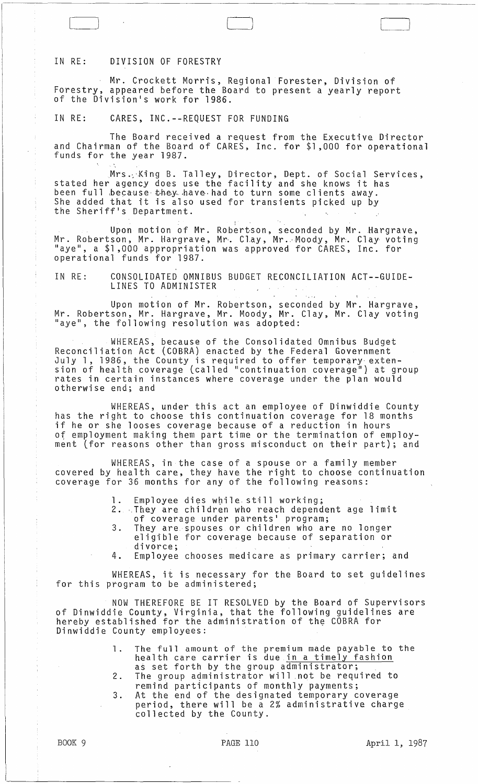## IN RE: DIVISION OF FORESTRY

Mr. Crockett Morris, Regional Forester, Division of Forestry, appeared before the Board to present a yearly report of the Division's work for 1986.

IN RE: CARES, INC.--REQUEST FOR FUNDING

The Board received a request from the Executive Director and Chairman of the Board of CARES, Inc. for \$1,000 for operational<br>funds for the year 1987.

Mrs. King B. Talle<mark>y, Director, Dept. of Social Services,</mark> stated her agency does use the facility and she knows it has been full because they have had to turn some clients away. She added that it is also used for transients picked up by the Sheriff's Department.

Upon motion of Mr. Robertson, seconded by Mr. Hargrave, Mr. Robertson, Mr. Hargrave, Mr·. Clay, Mr .. ·Moody, Mr. Clay· voting "aye", a \$1,000 appropriation was approved for CARES, Inc. for operational funds for 1987.

IN RE: CONSOLIDATED OMNIBUS BUDGET RECONCILIATION ACT--GUIDE-LINES TO ADMINISTER

Upon motion of Mr. Robertson, seconded by Mr. Hargrave, Mr. Robertson, Mr. Hargrave, Mr. Moody, Mr. Clay, Mr. Clay voting "aye", the following resolution was adopted:

WHEREAS, because of the Consolidated Omnibus Budget Reconciliation Act (COBRA) enacted by the Federal Government July 1, 1986, the County is required to offer temporary extension of health coverage (called "continuation coverage") at group rates in certain instances where coverage under the plan would otherwise end; and

WHEREAS, under this act an employee of Dinwiddie County has the right to choose this continuation coverage for 18 months if he or she looses coverage because of a reduction in hours ot employment making them part time or the termination of employment (for reasons other than gross misconduct on their part); and

WHEREAS, in the case of a spouse or a family member covered by health care, they have the right to choose continuation coverage for 36 months for any of the following reasons:

- 
- 1. Employee dies while still working;<br>2. They are children who reach dependent age limit of coverage under parents' program;
- 3. They are. spouses or children who are no longer eligible for coverage because of separation or divorce;
- 4. Employee chooses medicare as primary carrier; and

WHEREAS, it is necessary for the Board to set guidelines for this program to be administered;

NOW THEREFORE BE IT RESOLVED by the Board of Supervisors of Dinwiddie County, Virginia, that the following guidelines are refinance of the stablished for the administration of the COBRA for Dinwiddie County employees: .

- 1. The full amount of the premium made payable to the health care carrier is due in a timely fashion as set forth by the group administrator;
- 2. The group administrator will not be required to
- remind participants of monthly payments; 3. At the end of the designated temporary coverage period, there will be a 2% administrative charge collected by the County.